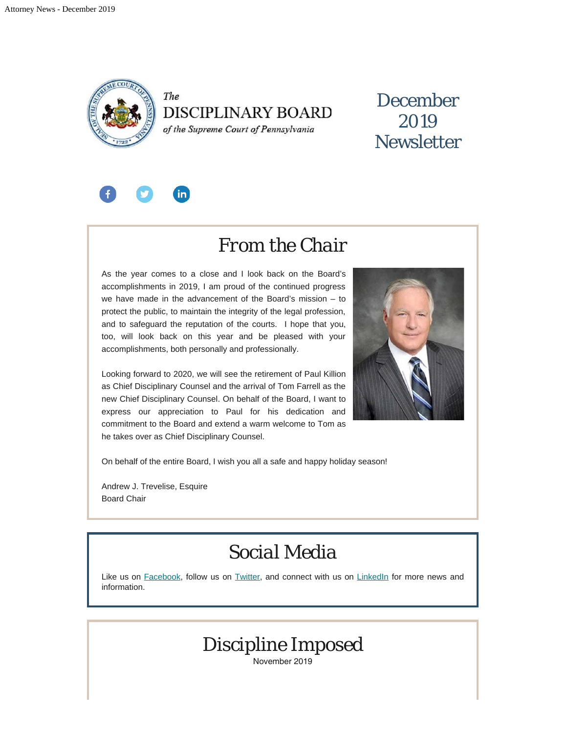

The **DISCIPLINARY BOARD** 

of the Supreme Court of Pennsylvania

### December 2019 **Newsletter**



### *From the Chair*

As the year comes to a close and I look back on the Board's accomplishments in 2019, I am proud of the continued progress we have made in the advancement of the Board's mission – to protect the public, to maintain the integrity of the legal profession, and to safeguard the reputation of the courts. I hope that you, too, will look back on this year and be pleased with your accomplishments, both personally and professionally.

Looking forward to 2020, we will see the retirement of Paul Killion as Chief Disciplinary Counsel and the arrival of Tom Farrell as the new Chief Disciplinary Counsel. On behalf of the Board, I want to express our appreciation to Paul for his dedication and commitment to the Board and extend a warm welcome to Tom as he takes over as Chief Disciplinary Counsel.



On behalf of the entire Board, I wish you all a safe and happy holiday season!

Andrew J. Trevelise, Esquire Board Chair

### *Social Media*

Like us on [Facebook](https://www.facebook.com/DBoardPA), follow us on [Twitter,](https://twitter.com/DBoardPa) and connect with us on [LinkedIn](https://www.linkedin.com/company/pennsylvania-disciplinary-board/) for more news and information.



November 2019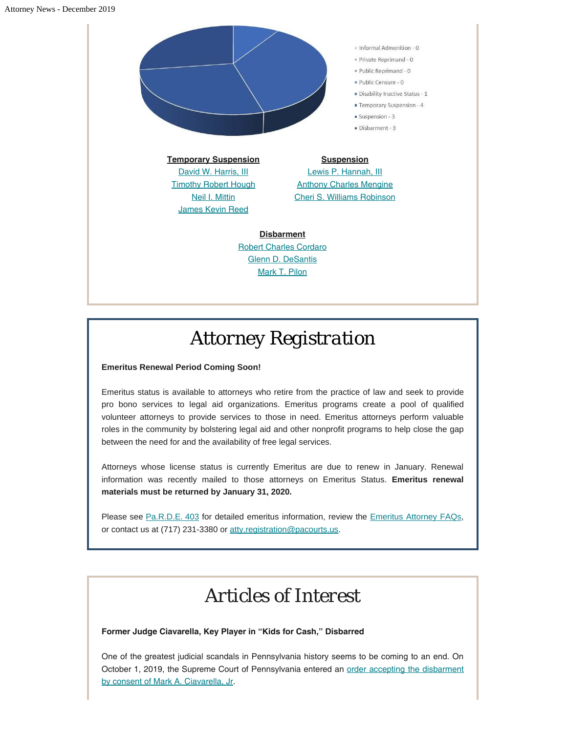#### Attorney News - December 2019



# *Attorney Registration*

#### **Emeritus Renewal Period Coming Soon!**

Emeritus status is available to attorneys who retire from the practice of law and seek to provide pro bono services to legal aid organizations. Emeritus programs create a pool of qualified volunteer attorneys to provide services to those in need. Emeritus attorneys perform valuable roles in the community by bolstering legal aid and other nonprofit programs to help close the gap between the need for and the availability of free legal services.

Attorneys whose license status is currently Emeritus are due to renew in January. Renewal information was recently mailed to those attorneys on Emeritus Status. **Emeritus renewal materials must be returned by January 31, 2020.**

Please see [Pa.R.D.E. 403](http://www.padisciplinaryboard.org/for-attorneys/rules/rule/5/#rule-389) for detailed emeritus information, review the [Emeritus Attorney FAQs](http://www.padisciplinaryboard.org/for-attorneys/resources/#Emeritus), or contact us at (717) 231-3380 or [atty.registration@pacourts.us](mailto:atty.registration@pacourts.us).

## *Articles of Interest*

#### **Former Judge Ciavarella, Key Player in "Kids for Cash," Disbarred**

One of the greatest judicial scandals in Pennsylvania history seems to be coming to an end. On October 1, 2019, the Supreme Court of Pennsylvania entered an [order accepting the disbarment](http://www.pacourts.us/assets/opinions/DisciplinaryBoard/out/26DB2012-Ciavarella,%20Jr..pdf) [by consent of Mark A. Ciavarella, Jr.](http://www.pacourts.us/assets/opinions/DisciplinaryBoard/out/26DB2012-Ciavarella,%20Jr..pdf)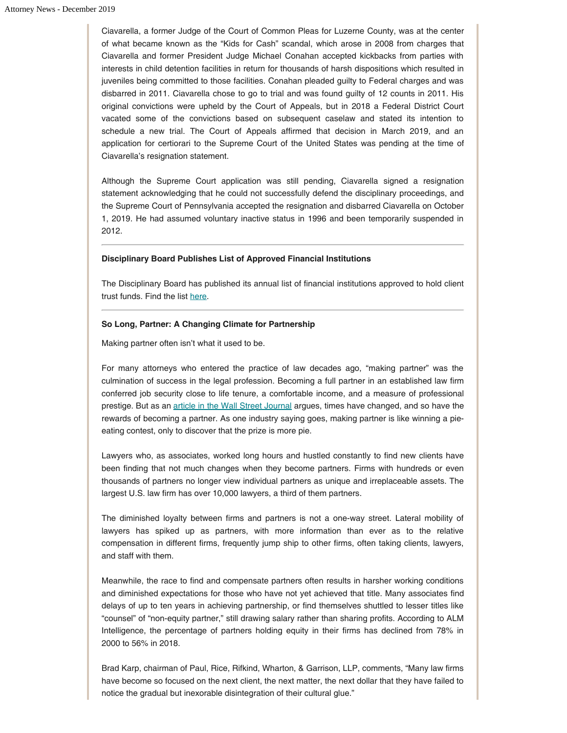Ciavarella, a former Judge of the Court of Common Pleas for Luzerne County, was at the center of what became known as the "Kids for Cash" scandal, which arose in 2008 from charges that Ciavarella and former President Judge Michael Conahan accepted kickbacks from parties with interests in child detention facilities in return for thousands of harsh dispositions which resulted in juveniles being committed to those facilities. Conahan pleaded guilty to Federal charges and was disbarred in 2011. Ciavarella chose to go to trial and was found guilty of 12 counts in 2011. His original convictions were upheld by the Court of Appeals, but in 2018 a Federal District Court vacated some of the convictions based on subsequent caselaw and stated its intention to schedule a new trial. The Court of Appeals affirmed that decision in March 2019, and an application for certiorari to the Supreme Court of the United States was pending at the time of Ciavarella's resignation statement.

Although the Supreme Court application was still pending, Ciavarella signed a resignation statement acknowledging that he could not successfully defend the disciplinary proceedings, and the Supreme Court of Pennsylvania accepted the resignation and disbarred Ciavarella on October 1, 2019. He had assumed voluntary inactive status in 1996 and been temporarily suspended in 2012.

#### **Disciplinary Board Publishes List of Approved Financial Institutions**

The Disciplinary Board has published its annual list of financial institutions approved to hold client trust funds. Find the list [here](http://www.pacodeandbulletin.gov/Display/pabull?file=/secure/pabulletin/data/vol49/49-47/1734.html).

#### **So Long, Partner: A Changing Climate for Partnership**

Making partner often isn't what it used to be.

For many attorneys who entered the practice of law decades ago, "making partner" was the culmination of success in the legal profession. Becoming a full partner in an established law firm conferred job security close to life tenure, a comfortable income, and a measure of professional prestige. But as an [article in the Wall Street Journal](http://www.managingpartnerforum.org/tasks/sites/mpf/assets/image/MPF%20FEATURED%20ARTICLE%20-%20Being%20Law%20Firm%20Partner%20Once%20a%20Job%20for%20Life%20-%20WSJ%20-%208-16-19.pdf) argues, times have changed, and so have the rewards of becoming a partner. As one industry saying goes, making partner is like winning a pieeating contest, only to discover that the prize is more pie.

Lawyers who, as associates, worked long hours and hustled constantly to find new clients have been finding that not much changes when they become partners. Firms with hundreds or even thousands of partners no longer view individual partners as unique and irreplaceable assets. The largest U.S. law firm has over 10,000 lawyers, a third of them partners.

The diminished loyalty between firms and partners is not a one-way street. Lateral mobility of lawyers has spiked up as partners, with more information than ever as to the relative compensation in different firms, frequently jump ship to other firms, often taking clients, lawyers, and staff with them.

Meanwhile, the race to find and compensate partners often results in harsher working conditions and diminished expectations for those who have not yet achieved that title. Many associates find delays of up to ten years in achieving partnership, or find themselves shuttled to lesser titles like "counsel" of "non-equity partner," still drawing salary rather than sharing profits. According to ALM Intelligence, the percentage of partners holding equity in their firms has declined from 78% in 2000 to 56% in 2018.

Brad Karp, chairman of Paul, Rice, Rifkind, Wharton, & Garrison, LLP, comments, "Many law firms have become so focused on the next client, the next matter, the next dollar that they have failed to notice the gradual but inexorable disintegration of their cultural glue."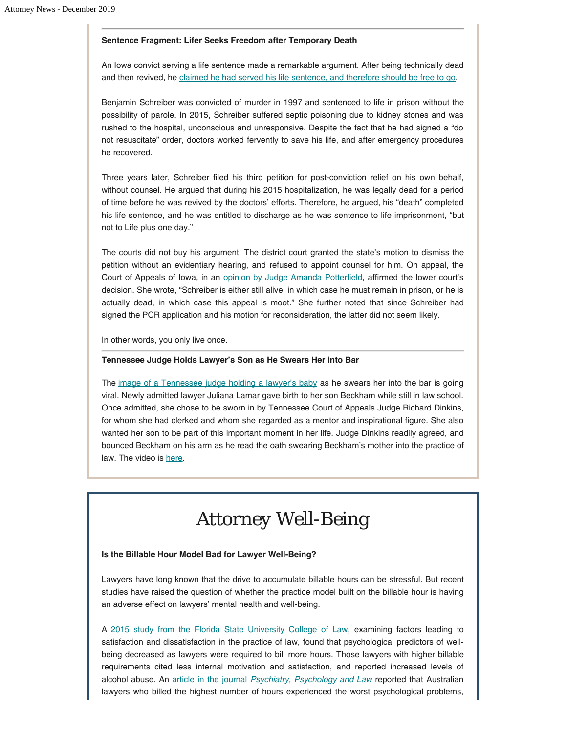#### **Sentence Fragment: Lifer Seeks Freedom after Temporary Death**

An Iowa convict serving a life sentence made a remarkable argument. After being technically dead and then revived, he [claimed he had served his life sentence, and therefore should be free to go.](https://www.washingtonpost.com/nation/2019/11/08/benjamin-schreiber-denied-life-sentence-appeal-iowa/)

Benjamin Schreiber was convicted of murder in 1997 and sentenced to life in prison without the possibility of parole. In 2015, Schreiber suffered septic poisoning due to kidney stones and was rushed to the hospital, unconscious and unresponsive. Despite the fact that he had signed a "do not resuscitate" order, doctors worked fervently to save his life, and after emergency procedures he recovered.

Three years later, Schreiber filed his third petition for post-conviction relief on his own behalf, without counsel. He argued that during his 2015 hospitalization, he was legally dead for a period of time before he was revived by the doctors' efforts. Therefore, he argued, his "death" completed his life sentence, and he was entitled to discharge as he was sentence to life imprisonment, "but not to Life plus one day."

The courts did not buy his argument. The district court granted the state's motion to dismiss the petition without an evidentiary hearing, and refused to appoint counsel for him. On appeal, the Court of Appeals of Iowa, in an [opinion by Judge Amanda Potterfield](https://www.iowacourts.gov/courtcases/7579/embed/CourtAppealsOpinion), affirmed the lower court's decision. She wrote, "Schreiber is either still alive, in which case he must remain in prison, or he is actually dead, in which case this appeal is moot." She further noted that since Schreiber had signed the PCR application and his motion for reconsideration, the latter did not seem likely.

In other words, you only live once.

#### **Tennessee Judge Holds Lawyer's Son as He Swears Her into Bar**

The [image of a Tennessee judge holding a lawyer's baby](https://thehill.com/blogs/blog-briefing-room/news/469828-tennessee-judge-holds-lawyers-baby-as-he-swears-her-into-the?fbclid=IwAR2_18uohekr53BKRVoTvHGDVxrBokVuhusgZ4Hx8HeIWjwnmzHzgi7g-aQ) as he swears her into the bar is going viral. Newly admitted lawyer Juliana Lamar gave birth to her son Beckham while still in law school. Once admitted, she chose to be sworn in by Tennessee Court of Appeals Judge Richard Dinkins, for whom she had clerked and whom she regarded as a mentor and inspirational figure. She also wanted her son to be part of this important moment in her life. Judge Dinkins readily agreed, and bounced Beckham on his arm as he read the oath swearing Beckham's mother into the practice of law. The video is [here](https://www.cnn.com/videos/us/2019/11/11/tennessee-judge-holds-baby-paul-mxp-vpx.hln).

## *Attorney Well-Being*

#### **Is the Billable Hour Model Bad for Lawyer Well-Being?**

Lawyers have long known that the drive to accumulate billable hours can be stressful. But recent studies have raised the question of whether the practice model built on the billable hour is having an adverse effect on lawyers' mental health and well-being.

A [2015 study from the Florida State University College of Law,](https://ir.law.fsu.edu/cgi/viewcontent.cgi?article=1093&context=articles) examining factors leading to satisfaction and dissatisfaction in the practice of law, found that psychological predictors of wellbeing decreased as lawyers were required to bill more hours. Those lawyers with higher billable requirements cited less internal motivation and satisfaction, and reported increased levels of alcohol abuse. An [article in the journal](https://www.tandfonline.com/doi/abs/10.1080/13218719.2013.822783?needAccess=true&journalCode=tppl20&) *[Psychiatry, Psychology and Law](https://www.tandfonline.com/doi/abs/10.1080/13218719.2013.822783?needAccess=true&journalCode=tppl20&)* reported that Australian lawyers who billed the highest number of hours experienced the worst psychological problems,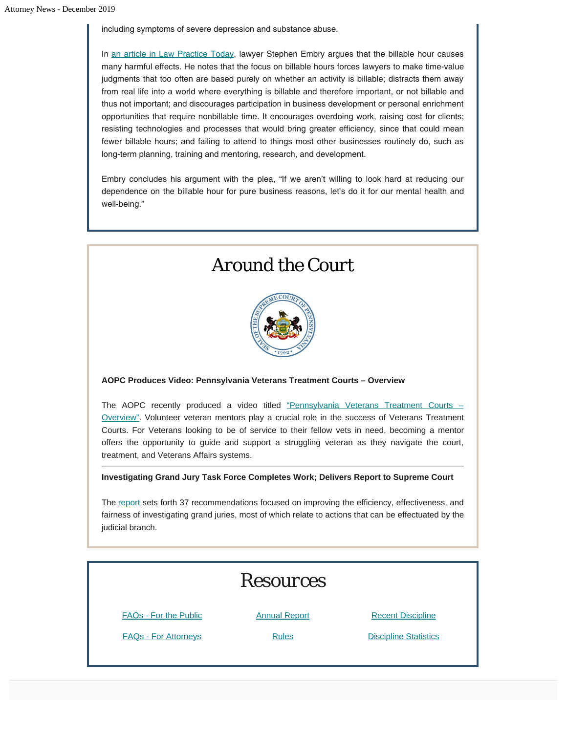including symptoms of severe depression and substance abuse.

In [an article in Law Practice Today](https://www.lawpracticetoday.org/article/billable-hour-impacting-mental-health/?fbclid=IwAR0yLuu6i7TjTPcPTDYdE7LuhRV2_NF-B8xwk1QIMO-of3h-SRRPf6jPuSQ), lawyer Stephen Embry argues that the billable hour causes many harmful effects. He notes that the focus on billable hours forces lawyers to make time-value judgments that too often are based purely on whether an activity is billable; distracts them away from real life into a world where everything is billable and therefore important, or not billable and thus not important; and discourages participation in business development or personal enrichment opportunities that require nonbillable time. It encourages overdoing work, raising cost for clients; resisting technologies and processes that would bring greater efficiency, since that could mean fewer billable hours; and failing to attend to things most other businesses routinely do, such as long-term planning, training and mentoring, research, and development.

Embry concludes his argument with the plea, "If we aren't willing to look hard at reducing our dependence on the billable hour for pure business reasons, let's do it for our mental health and well-being."

## *Around the Court*



**AOPC Produces Video: Pennsylvania Veterans Treatment Courts – Overview**

The AOPC recently produced a video titled ["Pennsylvania Veterans Treatment Courts –](https://www.youtube.com/watch?v=epJ_YsXmFUU) [Overview".](https://www.youtube.com/watch?v=epJ_YsXmFUU) Volunteer veteran mentors play a crucial role in the success of Veterans Treatment Courts. For Veterans looking to be of service to their fellow vets in need, becoming a mentor offers the opportunity to guide and support a struggling veteran as they navigate the court, treatment, and Veterans Affairs systems.

**Investigating Grand Jury Task Force Completes Work; Delivers Report to Supreme Court**

The [report](http://www.pacourts.us/assets/files/newsrelease-1/file-8216.pdf?cb=2e35f2&fbclid=IwAR1yifCBrqJCpAC9UVEDJW4vvddHdG0FIFYpZ2HAykhPPLA4OP_aZBEI62c) sets forth 37 recommendations focused on improving the efficiency, effectiveness, and fairness of investigating grand juries, most of which relate to actions that can be effectuated by the judicial branch.